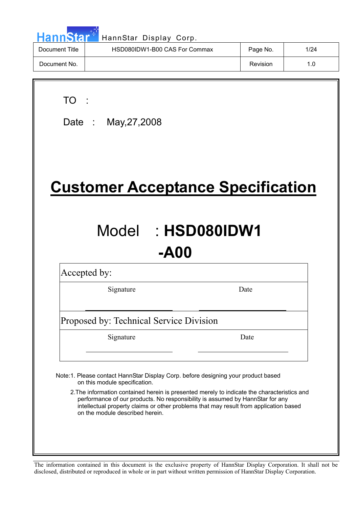| HannStar <sup>*</sup><br>HannStar Display Corp. |                               |          |      |  |  |  |  |  |
|-------------------------------------------------|-------------------------------|----------|------|--|--|--|--|--|
| Document Title                                  | HSD080IDW1-B00 CAS For Commax | Page No. | 1/24 |  |  |  |  |  |
| Document No.                                    |                               | Revision | 1.0  |  |  |  |  |  |
|                                                 |                               |          |      |  |  |  |  |  |

TO :

 $\overline{\phantom{a}}$ 

Date : May,27,2008

# **Customer Acceptance Specification**

# Model : **HSD080IDW1 -A00**

Accepted by:

Signature Date

Proposed by: Technical Service Division

Signature Date

Note:1. Please contact HannStar Display Corp. before designing your product based on this module specification.

2.The information contained herein is presented merely to indicate the characteristics and performance of our products. No responsibility is assumed by HannStar for any intellectual property claims or other problems that may result from application based on the module described herein.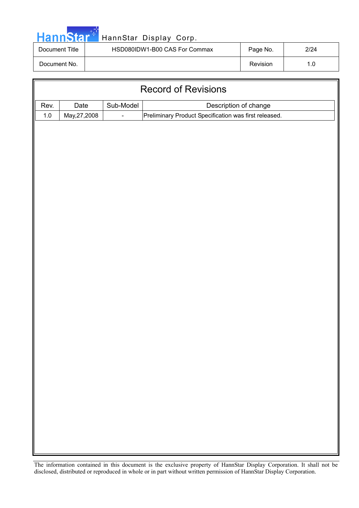|--|

### HannStar Display Corp.

| Document Title | HSD080IDW1-B00 CAS For Commax | Page No. | 2/24 |
|----------------|-------------------------------|----------|------|
| Document No.   |                               | Revision |      |

| <b>Record of Revisions</b> |                                            |  |                                                       |  |  |  |  |  |
|----------------------------|--------------------------------------------|--|-------------------------------------------------------|--|--|--|--|--|
| Rev.                       | Sub-Model<br>Description of change<br>Date |  |                                                       |  |  |  |  |  |
| $1.0\,$                    | May, 27, 2008                              |  | Preliminary Product Specification was first released. |  |  |  |  |  |
|                            |                                            |  |                                                       |  |  |  |  |  |
|                            |                                            |  |                                                       |  |  |  |  |  |
|                            |                                            |  |                                                       |  |  |  |  |  |
|                            |                                            |  |                                                       |  |  |  |  |  |
|                            |                                            |  |                                                       |  |  |  |  |  |
|                            |                                            |  |                                                       |  |  |  |  |  |
|                            |                                            |  |                                                       |  |  |  |  |  |
|                            |                                            |  |                                                       |  |  |  |  |  |
|                            |                                            |  |                                                       |  |  |  |  |  |
|                            |                                            |  |                                                       |  |  |  |  |  |
|                            |                                            |  |                                                       |  |  |  |  |  |
|                            |                                            |  |                                                       |  |  |  |  |  |
|                            |                                            |  |                                                       |  |  |  |  |  |
|                            |                                            |  |                                                       |  |  |  |  |  |
|                            |                                            |  |                                                       |  |  |  |  |  |
|                            |                                            |  |                                                       |  |  |  |  |  |
|                            |                                            |  |                                                       |  |  |  |  |  |
|                            |                                            |  |                                                       |  |  |  |  |  |
|                            |                                            |  |                                                       |  |  |  |  |  |
|                            |                                            |  |                                                       |  |  |  |  |  |
|                            |                                            |  |                                                       |  |  |  |  |  |
|                            |                                            |  |                                                       |  |  |  |  |  |
|                            |                                            |  |                                                       |  |  |  |  |  |
|                            |                                            |  |                                                       |  |  |  |  |  |
|                            |                                            |  |                                                       |  |  |  |  |  |
|                            |                                            |  |                                                       |  |  |  |  |  |
|                            |                                            |  |                                                       |  |  |  |  |  |
|                            |                                            |  |                                                       |  |  |  |  |  |
|                            |                                            |  |                                                       |  |  |  |  |  |
|                            |                                            |  |                                                       |  |  |  |  |  |
|                            |                                            |  |                                                       |  |  |  |  |  |
|                            |                                            |  |                                                       |  |  |  |  |  |
|                            |                                            |  |                                                       |  |  |  |  |  |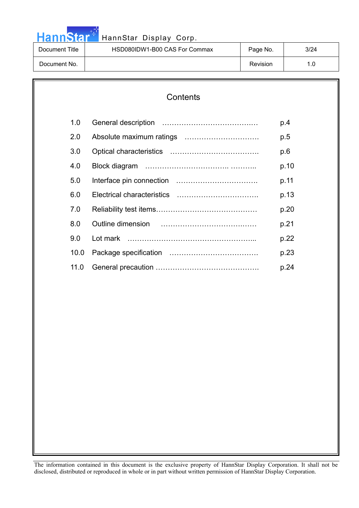|  |  | <b>HannStar</b> |  |
|--|--|-----------------|--|
|  |  |                 |  |

### HannStar Display Corp.

| Document Title | HSD080IDW1-B00 CAS For Commax | Page No. | 3/24 |
|----------------|-------------------------------|----------|------|
| Document No.   |                               | Revision |      |

## **Contents**  1.0 General description ……………………………….… p.4 2.0 Absolute maximum ratings …………………………. p.5 3.0 Optical characteristics ………………………………. p.6 4.0 Block diagram …………………………….. ……….. p.10 5.0 Interface pin connection ……………………………. p.11 6.0 Electrical characteristics ……………………………. p.13 7.0 Reliability test items…………………………………… p.20 8.0 Outline dimension …………………………….…… p.21 9.0 Lot mark ……………………………………………... p.22 10.0 Package specification ………………………………. p.23 11.0 General precaution ……………………………………. p.24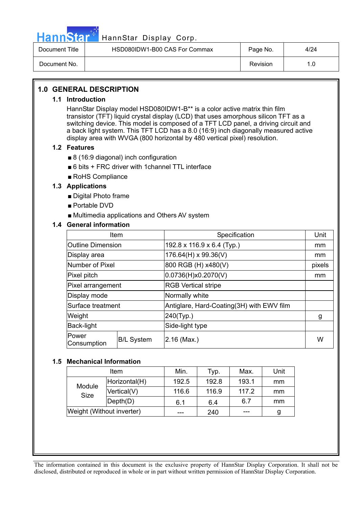

### HannStar<sup>#T</sup> HannStar Display Corp.

| Document Title | HSD080IDW1-B00 CAS For Commax | Page No. | 4/24 |
|----------------|-------------------------------|----------|------|
| Document No.   |                               | Revision |      |

### **1.0 GENERAL DESCRIPTION**

#### **1.1 Introduction**

HannStar Display model HSD080IDW1-B\*\* is a color active matrix thin film transistor (TFT) liquid crystal display (LCD) that uses amorphous silicon TFT as a switching device. This model is composed of a TFT LCD panel, a driving circuit and a back light system. This TFT LCD has a 8.0 (16:9) inch diagonally measured active display area with WVGA (800 horizontal by 480 vertical pixel) resolution.

#### **1.2 Features**

- $\blacksquare$  8 (16:9 diagonal) inch configuration
- $\blacksquare$  6 bits + FRC driver with 1channel TTL interface
- $\blacksquare$  RoHS Compliance

#### **1.3 Applications**

- $\blacksquare$  Digital Photo frame
- $\blacksquare$  Portable DVD
- $\blacksquare$  Multimedia applications and Others AV system

### **1.4 General information**

| Item                     |                   | Specification                             | Unit   |
|--------------------------|-------------------|-------------------------------------------|--------|
| <b>Outline Dimension</b> |                   | 192.8 x 116.9 x 6.4 (Typ.)                | mm     |
| Display area             |                   | 176.64(H) x 99.36(V)                      | mm     |
| Number of Pixel          |                   | 800 RGB (H) x480(V)                       | pixels |
| Pixel pitch              |                   | 0.0736(H)x0.2070(V)                       | mm     |
| Pixel arrangement        |                   | <b>RGB Vertical stripe</b>                |        |
| Display mode             |                   | Normally white                            |        |
| Surface treatment        |                   | Antiglare, Hard-Coating(3H) with EWV film |        |
| Weight                   |                   | 240(Typ.)                                 | g      |
| Back-light               |                   | Side-light type                           |        |
| Power<br>Consumption     | <b>B/L System</b> | 2.16 (Max.)                               |        |

#### **1.5 Mechanical Information**

|                           | Item                         | Min.  | Typ.  | Max.  | Unit |
|---------------------------|------------------------------|-------|-------|-------|------|
|                           | Horizontal(H)                | 192.5 | 192.8 | 193.1 | mm   |
| Module<br>Size            | Vertical(V)                  | 116.6 | 116.9 | 117.2 | mm   |
|                           | $\mathsf{Depth}(\mathsf{D})$ | 6.1   | 6.4   | 6.7   | mm   |
| Weight (Without inverter) |                              |       | 240   | ---   | g    |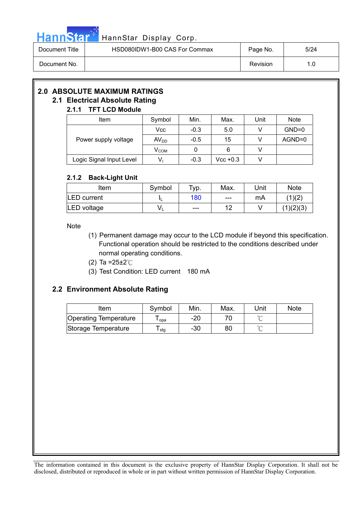

### Hann Star<sup>t HannStar</sup> Display Corp.

| Document Title | HSD080IDW1-B00 CAS For Commax | Page No. | 5/24 |
|----------------|-------------------------------|----------|------|
| Document No.   |                               | Revision | 1.0  |

### **2.0 ABSOLUTE MAXIMUM RATINGS**

### **2.1 Electrical Absolute Rating**

### **2.1.1 TFT LCD Module**  Item | Symbol | Min. | Max. | Unit | Note  $Vcc$  -0.3 5.0 V GND=0 Power supply voltage  $\vert$  AV<sub>DD</sub>  $\vert$  -0.5  $\vert$  15  $\vert$  V  $\vert$  AGND=0  $V_{COM}$  0 6 V

Logic Signal Input Level  $\begin{vmatrix} 1 & 0 & 0 \\ 0 & 0 & 0 \\ 0 & 0 & 0 \end{vmatrix}$  Vcc +0.3  $\begin{vmatrix} 1 & 0 & 0 \\ 0 & 1 & 0 \\ 0 & 0 & 0 \end{vmatrix}$ 

### **2.1.2 Back-Light Unit**

| Item               | Symbol | $TVD$ . | Max.  | Unit | <b>Note</b> |
|--------------------|--------|---------|-------|------|-------------|
| <b>LED</b> current |        | 180     | $---$ | mA   | (1)(2)      |
| LED voltage        |        | $---$   | 12    |      | (1)(2)(3)   |

#### Note

- (1) Permanent damage may occur to the LCD module if beyond this specification. Functional operation should be restricted to the conditions described under normal operating conditions.
- (2) Ta = $25 \pm 2^{\circ}$ C
- (3) Test Condition: LED current 180 mA

### **2.2 Environment Absolute Rating**

| ltem                  | Symbol | Min. | Max. | Unit    | <b>Note</b> |
|-----------------------|--------|------|------|---------|-------------|
| Operating Temperature | opa    | -20  |      | $\circ$ |             |
| Storage Temperature   | stg    | -30  | 80   | $\sim$  |             |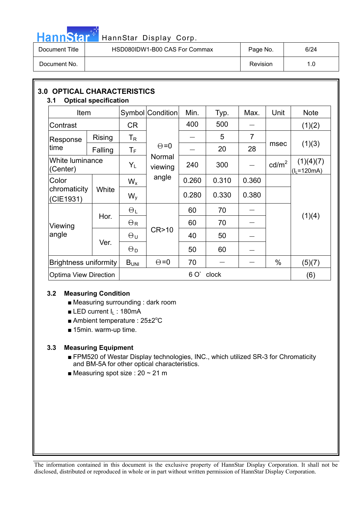

# HannStar<sup>t HannStar</sup> Display Corp.

| Document Title | HSD080IDW1-B00 CAS For Commax | Page No. | 6/24 |
|----------------|-------------------------------|----------|------|
| Document No.   |                               | Revision | 1.0  |

| <b>3.0 OPTICAL CHARACTERISTICS</b><br>3.1 | <b>Optical specification</b> |                         |                   |       |       |                |                   |                              |
|-------------------------------------------|------------------------------|-------------------------|-------------------|-------|-------|----------------|-------------------|------------------------------|
| Item                                      |                              |                         | Symbol Condition  | Min.  | Typ.  | Max.           | Unit              | <b>Note</b>                  |
| Contrast                                  |                              | <b>CR</b>               |                   | 400   | 500   |                |                   | (1)(2)                       |
| Response                                  | <b>Rising</b>                | T <sub>R</sub>          |                   |       | 5     | $\overline{7}$ |                   | (1)(3)                       |
| time                                      | Falling                      | $\mathsf{T}_\mathsf{F}$ | $\Theta = 0$      |       | 20    | 28             | msec              |                              |
| White luminance<br>(Center)               |                              | $Y_L$                   | Normal<br>viewing | 240   | 300   |                | cd/m <sup>2</sup> | (1)(4)(7)<br>$(I_L = 120mA)$ |
| Color                                     |                              | $W_{x}$                 | angle             | 0.260 | 0.310 | 0.360          |                   |                              |
| chromaticity<br>(CIE1931)                 | White                        | $W_{V}$                 |                   | 0.280 | 0.330 | 0.380          |                   |                              |
|                                           |                              | $\Theta_L$              |                   | 60    | 70    |                |                   |                              |
| Viewing                                   | Hor.                         | $\Theta$ R              |                   | 60    | 70    |                |                   | (1)(4)                       |
| angle                                     | Ver.                         | $\Theta$ u              | CR > 10           | 40    | 50    |                |                   |                              |
|                                           |                              | $\Theta_{\mathsf{D}}$   |                   | 50    | 60    |                |                   |                              |
|                                           | <b>Brightness uniformity</b> |                         | $\Theta = 0$      | 70    |       |                | $\%$              | (5)(7)                       |
|                                           | <b>Optima View Direction</b> |                         |                   | 6 O'  | clock |                |                   | (6)                          |

### **3.2 Measuring Condition**

- $\blacksquare$  Measuring surrounding : dark room
- **E** LED current  $I_L$  : 180mA
- Ambient temperature :  $25\pm2^{\circ}C$
- $\blacksquare$  15min. warm-up time.

### **3.3 Measuring Equipment**

- FPM520 of Westar Display technologies, INC., which utilized SR-3 for Chromaticity and BM-5A for other optical characteristics.
- **Measuring spot size : 20 ~ 21 m**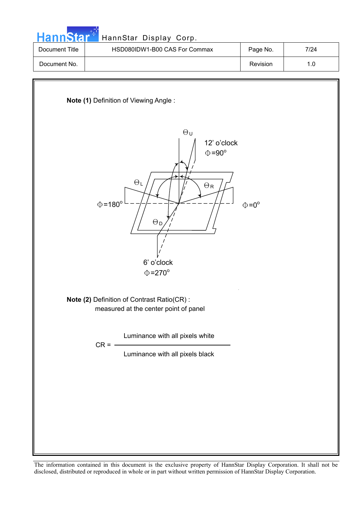| HannStar <sup>*1</sup> | HannStar Display Corp.                       |          |      |  |  |  |  |
|------------------------|----------------------------------------------|----------|------|--|--|--|--|
| Document Title         | HSD080IDW1-B00 CAS For Commax                | Page No. | 7/24 |  |  |  |  |
| Document No.           |                                              | Revision | 1.0  |  |  |  |  |
|                        | <b>Note (1) Definition of Viewing Angle:</b> |          |      |  |  |  |  |



**Note (2)** Definition of Contrast Ratio(CR) : measured at the center point of panel

Luminance with all pixels white

 $CR = -$ 

Luminance with all pixels black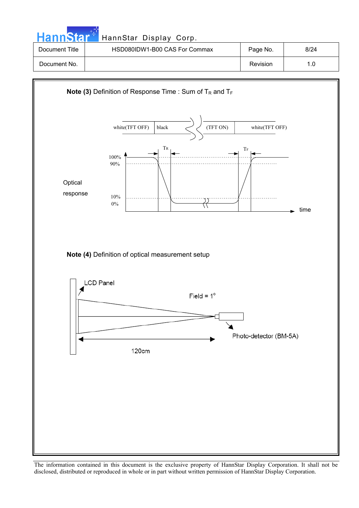| <b>HannStar</b> | HannStar Display Corp.        |          |      |
|-----------------|-------------------------------|----------|------|
| Document Title  | HSD080IDW1-B00 CAS For Commax | Page No. | 8/24 |
| Document No.    |                               | Revision | 1.0  |

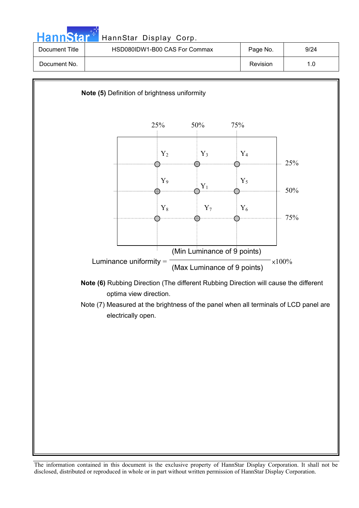| <b>HannStar</b> | HannStar Display Corp.        |          |      |
|-----------------|-------------------------------|----------|------|
| Document Title  | HSD080IDW1-B00 CAS For Commax | Page No. | 9/24 |
| Document No.    |                               | Revision | 1.0  |

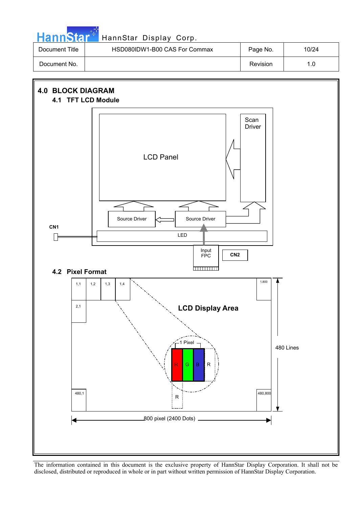| <b>HannStar</b> | HannStar Display Corp.        |          |       |
|-----------------|-------------------------------|----------|-------|
| Document Title  | HSD080IDW1-B00 CAS For Commax | Page No. | 10/24 |
| Document No.    |                               | Revision | 1.0   |

والمرادي

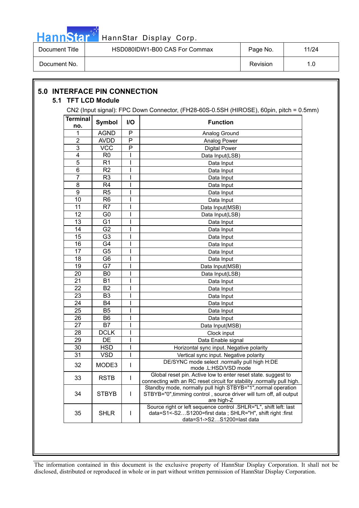

| Document Title | HSD080IDW1-B00 CAS For Commax | Page No. | 11/24 |
|----------------|-------------------------------|----------|-------|
| Document No.   |                               | Revision |       |

|                        |                | CN2 (Input signal): FPC Down Connector, (FH28-60S-0.5SH (HIROSE), 60pin, pitch = 0.5mm) |                                                                                                                                                              |  |  |  |  |
|------------------------|----------------|-----------------------------------------------------------------------------------------|--------------------------------------------------------------------------------------------------------------------------------------------------------------|--|--|--|--|
| <b>Terminal</b><br>no. | <b>Symbol</b>  | I/O                                                                                     | <b>Function</b>                                                                                                                                              |  |  |  |  |
| 1                      | <b>AGND</b>    | P                                                                                       | Analog Ground                                                                                                                                                |  |  |  |  |
| 2                      | <b>AVDD</b>    | P                                                                                       | Analog Power                                                                                                                                                 |  |  |  |  |
| 3                      | <b>VCC</b>     | P                                                                                       | <b>Digital Power</b>                                                                                                                                         |  |  |  |  |
| 4                      | R <sub>0</sub> |                                                                                         | Data Input(LSB)                                                                                                                                              |  |  |  |  |
| 5                      | R <sub>1</sub> |                                                                                         | Data Input                                                                                                                                                   |  |  |  |  |
| 6                      | R <sub>2</sub> |                                                                                         | Data Input                                                                                                                                                   |  |  |  |  |
| 7                      | R <sub>3</sub> |                                                                                         | Data Input                                                                                                                                                   |  |  |  |  |
| 8                      | R4             |                                                                                         | Data Input                                                                                                                                                   |  |  |  |  |
| 9                      | R <sub>5</sub> |                                                                                         | Data Input                                                                                                                                                   |  |  |  |  |
| 10                     | R <sub>6</sub> |                                                                                         | Data Input                                                                                                                                                   |  |  |  |  |
| 11                     | R7             |                                                                                         | Data Input(MSB)                                                                                                                                              |  |  |  |  |
| 12                     | G <sub>0</sub> |                                                                                         | Data Input(LSB)                                                                                                                                              |  |  |  |  |
| 13                     | G <sub>1</sub> |                                                                                         | Data Input                                                                                                                                                   |  |  |  |  |
| 14                     | G <sub>2</sub> |                                                                                         | Data Input                                                                                                                                                   |  |  |  |  |
| 15                     | G <sub>3</sub> |                                                                                         | Data Input                                                                                                                                                   |  |  |  |  |
| 16                     | G4             |                                                                                         | Data Input                                                                                                                                                   |  |  |  |  |
| 17                     | G <sub>5</sub> |                                                                                         | Data Input                                                                                                                                                   |  |  |  |  |
| 18                     | G <sub>6</sub> |                                                                                         | Data Input                                                                                                                                                   |  |  |  |  |
| 19                     | G7             |                                                                                         | Data Input(MSB)                                                                                                                                              |  |  |  |  |
| 20                     | B <sub>0</sub> |                                                                                         | Data Input(LSB)                                                                                                                                              |  |  |  |  |
| 21                     | <b>B1</b>      |                                                                                         | Data Input                                                                                                                                                   |  |  |  |  |
| 22                     | <b>B2</b>      |                                                                                         | Data Input                                                                                                                                                   |  |  |  |  |
| 23                     | B <sub>3</sub> |                                                                                         | Data Input                                                                                                                                                   |  |  |  |  |
| 24                     | <b>B4</b>      |                                                                                         | Data Input                                                                                                                                                   |  |  |  |  |
| 25                     | B <sub>5</sub> |                                                                                         | Data Input                                                                                                                                                   |  |  |  |  |
| 26                     | B <sub>6</sub> |                                                                                         | Data Input                                                                                                                                                   |  |  |  |  |
| 27                     | <b>B7</b>      |                                                                                         | Data Input(MSB)                                                                                                                                              |  |  |  |  |
| 28                     | <b>DCLK</b>    |                                                                                         | Clock input                                                                                                                                                  |  |  |  |  |
| 29                     | DE             |                                                                                         | Data Enable signal                                                                                                                                           |  |  |  |  |
| 30                     | <b>HSD</b>     |                                                                                         | Horizontal sync input. Negative polarity                                                                                                                     |  |  |  |  |
| 31                     | <b>VSD</b>     |                                                                                         | Vertical sync input. Negative polarity                                                                                                                       |  |  |  |  |
| 32                     | MODE3          | I                                                                                       | DE/SYNC mode select .normally pull high H:DE<br>mode .L:HSD/VSD mode                                                                                         |  |  |  |  |
| 33                     | <b>RSTB</b>    |                                                                                         | Global reset pin. Active low to enter reset state. suggest to<br>connecting with an RC reset circuit for stability .normally pull high.                      |  |  |  |  |
| 34                     | <b>STBYB</b>   | L                                                                                       | Standby mode, normally pull high STBYB="1", normal operation<br>STBYB="0", timming control, source driver will turn off, all output<br>are high-Z            |  |  |  |  |
| 35                     | <b>SHLR</b>    | I                                                                                       | Source right or left sequence control .SHLR="L", shift left: last<br>data=S1<-S2S1200=first data; SHLR="H", shift right :first<br>data=S1->S2S1200=last data |  |  |  |  |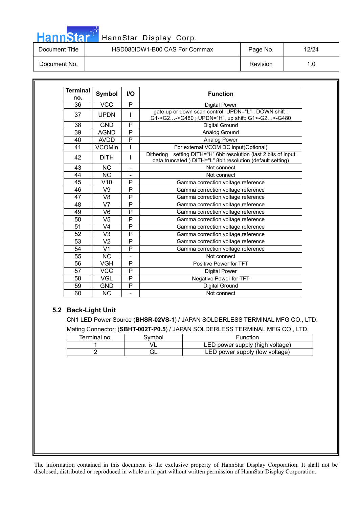## HannStar<sup>17</sup> HannStar Display Corp.

| Document Title | HSD080IDW1-B00 CAS For Commax | Page No. | 12/24 |
|----------------|-------------------------------|----------|-------|
| Document No.   |                               | Revision |       |

| <b>Terminal</b><br>no. | Symbol                 | $II$                     | <b>Function</b>                                                                                                                   |
|------------------------|------------------------|--------------------------|-----------------------------------------------------------------------------------------------------------------------------------|
| 36                     | <b>VCC</b>             | P                        | <b>Digital Power</b>                                                                                                              |
| 37                     | <b>UPDN</b>            |                          | gate up or down scan control. UPDN="L", DOWN shift:<br>G1->G2->G480; UPDN="H", up shift: G1<-G2<-G480                             |
| 38                     | <b>GND</b>             | P                        | Digital Ground                                                                                                                    |
| 39                     | <b>AGND</b>            | P                        | Analog Ground                                                                                                                     |
| 40                     | <b>AVDD</b>            | P                        | Analog Power                                                                                                                      |
| 41                     | <b>VCOMin</b>          |                          | For external VCOM DC input(Optional)                                                                                              |
| 42                     | <b>DITH</b>            |                          | setting DITH="H" 6bit resolution (last 2 bits of input<br>Dithering<br>data truncated) DITH="L" 8bit resolution (default setting) |
| 43                     | <b>NC</b>              |                          | Not connect                                                                                                                       |
| 44                     | $\overline{\text{NC}}$ | $\overline{\phantom{a}}$ | Not connect                                                                                                                       |
| 45                     | V10                    | P                        | Gamma correction voltage reference                                                                                                |
| 46                     | V9                     | P                        | Gamma correction voltage reference                                                                                                |
| 47                     | V <sub>8</sub>         | P                        | Gamma correction voltage reference                                                                                                |
| 48                     | V7                     | P                        | Gamma correction voltage reference                                                                                                |
| 49                     | V <sub>6</sub>         | P                        | Gamma correction voltage reference                                                                                                |
| 50                     | V <sub>5</sub>         | P                        | Gamma correction voltage reference                                                                                                |
| 51                     | V <sub>4</sub>         | P                        | Gamma correction voltage reference                                                                                                |
| 52                     | V3                     | P                        | Gamma correction voltage reference                                                                                                |
| 53                     | V <sub>2</sub>         | P                        | Gamma correction voltage reference                                                                                                |
| 54                     | V <sub>1</sub>         | P                        | Gamma correction voltage reference                                                                                                |
| 55                     | <b>NC</b>              | $\overline{\phantom{a}}$ | Not connect                                                                                                                       |
| 56                     | <b>VGH</b>             | P                        | Positive Power for TFT                                                                                                            |
| 57                     | <b>VCC</b>             | P                        | <b>Digital Power</b>                                                                                                              |
| 58                     | VGL                    | P                        | Negative Power for TFT                                                                                                            |
| 59                     | <b>GND</b>             | P                        | <b>Digital Ground</b>                                                                                                             |
| 60                     | <b>NC</b>              |                          | Not connect                                                                                                                       |

#### **5.2 Back-Light Unit**

CN1 LED Power Source (**BHSR-02VS-1**) / JAPAN SOLDERLESS TERMINAL MFG CO., LTD. Mating Connector: (**SBHT-002T-P0.5**) / JAPAN SOLDERLESS TERMINAL MFG CO., LTD.

| Terminal no. | Svmbol | Function                        |  |
|--------------|--------|---------------------------------|--|
|              |        | LED power supply (high voltage) |  |
|              |        | LED power supply (low voltage)  |  |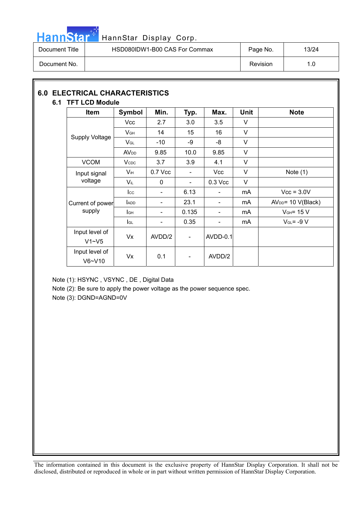

## HannStar<sup>47</sup> HannStar Display Corp.

| Document Title | HSD080IDW1-B00 CAS For Commax | Page No. | 13/24 |
|----------------|-------------------------------|----------|-------|
| Document No.   |                               | Revision | 1.0   |

### **6.0 ELECTRICAL CHARACTERISTICS 6.1 TFT LCD Module**

| <b>Item</b>                 | Symbol                   | Min.                         | Typ.                     | Max.                     | <b>Unit</b> | <b>Note</b>          |
|-----------------------------|--------------------------|------------------------------|--------------------------|--------------------------|-------------|----------------------|
|                             | Vcc                      | 2.7                          | 3.0                      | 3.5                      | V           |                      |
|                             | $V$ GH                   | 14                           | 15                       | 16                       | V           |                      |
| <b>Supply Voltage</b>       | $V_{GL}$                 | -10                          | -9                       | -8                       | V           |                      |
|                             | <b>AV<sub>DD</sub></b>   | 9.85                         | 10.0                     | 9.85                     | V           |                      |
| <b>VCOM</b>                 | <b>V</b> c <sub>DC</sub> | 3.7                          | 3.9                      | 4.1                      | $\vee$      |                      |
| Input signal                | Vін                      | 0.7 Vcc                      | $\overline{\phantom{a}}$ | <b>Vcc</b>               | V           | Note $(1)$           |
| voltage                     | Vil                      | 0                            | $\blacksquare$           | $0.3$ Vcc                | $\vee$      |                      |
|                             | $_{\rm lcc}$             | $\qquad \qquad \blacksquare$ | 6.13                     | $\blacksquare$           | mA          | $Vcc = 3.0V$         |
| Current of power            | <b>ADD</b>               | $\overline{\phantom{0}}$     | 23.1                     | $\overline{\phantom{a}}$ | mA          | $AVDD = 10 V(Black)$ |
| supply                      | lсн                      | $\overline{\phantom{a}}$     | 0.135                    | $\overline{\phantom{a}}$ | mA          | $VGH = 15 V$         |
|                             | lgL                      | $\overline{\phantom{a}}$     | 0.35                     | $\overline{\phantom{a}}$ | mA          | $V_{GL} = -9 V$      |
| Input level of<br>$V1 - V5$ | Vx                       | AVDD/2                       | $\overline{\phantom{a}}$ | <b>AVDD-0.1</b>          |             |                      |
| Input level of<br>$V6-V10$  | Vx                       | 0.1                          | $\overline{\phantom{a}}$ | AVDD/2                   |             |                      |

Note (1): HSYNC , VSYNC , DE , Digital Data

Note (2): Be sure to apply the power voltage as the power sequence spec.

Note (3): DGND=AGND=0V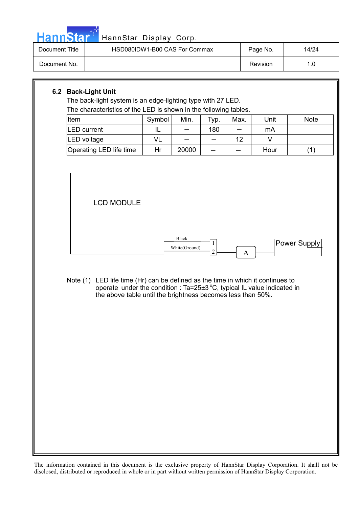

## HannStar<sup>t HannStar</sup> Display Corp.

| Document Title | HSD080IDW1-B00 CAS For Commax | Page No. | 14/24 |
|----------------|-------------------------------|----------|-------|
| Document No.   |                               | Revision | 1.0   |

### **6.2 Back-Light Unit**

The back-light system is an edge-lighting type with 27 LED. The characteristics of the LED is shown in the following tables.

| Item                    | Symbol | Min.  | Typ. | Max. | Unit | <b>Note</b> |
|-------------------------|--------|-------|------|------|------|-------------|
| <b>LED</b> current      |        |       | 180  |      | mA   |             |
| LED voltage             |        |       |      | 12   |      |             |
| Operating LED life time | Hr     | 20000 |      |      | Hour |             |



Note (1) LED life time (Hr) can be defined as the time in which it continues to operate under the condition :  $Ta = 25 \pm 3 \degree C$ , typical IL value indicated in the above table until the brightness becomes less than 50%.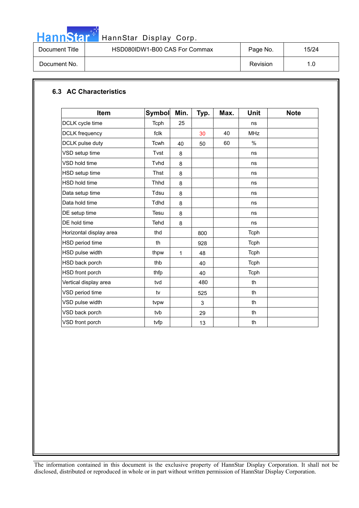

# HannStar<sup>t HannStar Display Corp.</sup>

| Document Title | HSD080IDW1-B00 CAS For Commax | Page No. | 15/24 |
|----------------|-------------------------------|----------|-------|
| Document No.   |                               | Revision | 1.0   |

### **6.3 AC Characteristics**

| <b>Item</b>             | <b>Symbol</b> | Min. | Typ. | Max. | <b>Unit</b> | <b>Note</b> |
|-------------------------|---------------|------|------|------|-------------|-------------|
| DCLK cycle time         | Tcph          | 25   |      |      | ns          |             |
| <b>DCLK</b> frequency   | fclk          |      | 30   | 40   | <b>MHz</b>  |             |
| DCLK pulse duty         | <b>Tcwh</b>   | 40   | 50   | 60   | $\%$        |             |
| VSD setup time          | Tvst          | 8    |      |      | ns          |             |
| VSD hold time           | Tvhd          | 8    |      |      | ns          |             |
| HSD setup time          | Thst          | 8    |      |      | ns          |             |
| <b>HSD hold time</b>    | <b>Thhd</b>   | 8    |      |      | ns          |             |
| Data setup time         | Tdsu          | 8    |      |      | ns          |             |
| Data hold time          | <b>Tdhd</b>   | 8    |      |      | ns          |             |
| DE setup time           | Tesu          | 8    |      |      | ns          |             |
| DE hold time            | Tehd          | 8    |      |      | ns          |             |
| Horizontal display area | thd           |      | 800  |      | Tcph        |             |
| HSD period time         | th            |      | 928  |      | Tcph        |             |
| HSD pulse width         | thpw          | 1    | 48   |      | <b>Tcph</b> |             |
| HSD back porch          | thb           |      | 40   |      | Tcph        |             |
| HSD front porch         | thfp          |      | 40   |      | Tcph        |             |
| Vertical display area   | tvd           |      | 480  |      | th          |             |
| VSD period time         | tv            |      | 525  |      | th          |             |
| VSD pulse width         | tvpw          |      | 3    |      | th          |             |
| VSD back porch          | tvb           |      | 29   |      | th          |             |
| VSD front porch         | tvfp          |      | 13   |      | th          |             |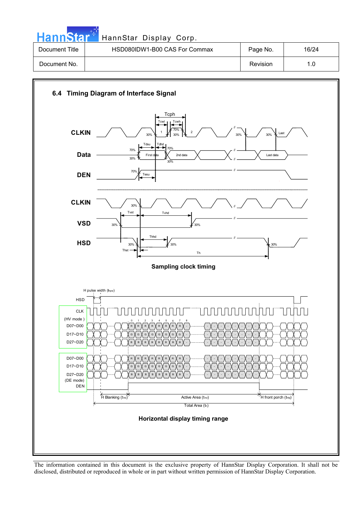| HannStar <sup>*</sup> | HannStar Display Corp.        |          |       |
|-----------------------|-------------------------------|----------|-------|
| Document Title        | HSD080IDW1-B00 CAS For Commax | Page No. | 16/24 |
| Document No.          |                               | Revision | 1.0   |

برابي

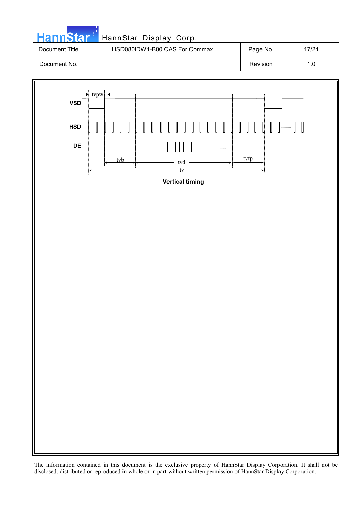

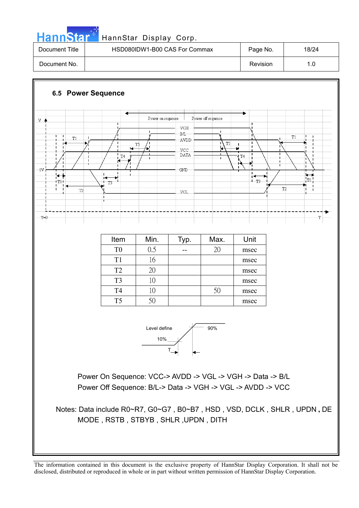## HannStar<sup>#</sup> HannStar Display Corp.

| Document Title | HSD080IDW1-B00 CAS For Commax | Page No. | 18/24 |
|----------------|-------------------------------|----------|-------|
| Document No.   |                               | Revision | 1.0   |

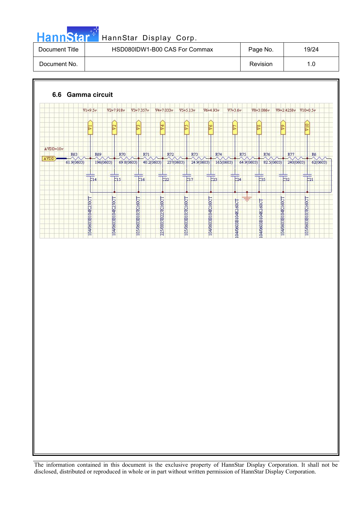

# HannStar<sup>t H</sup> HannStar Display Corp.

| Document Title | HSD080IDW1-B00 CAS For Commax | Page No. | 19/24 |
|----------------|-------------------------------|----------|-------|
| Document No.   |                               | Revision | 1.0   |

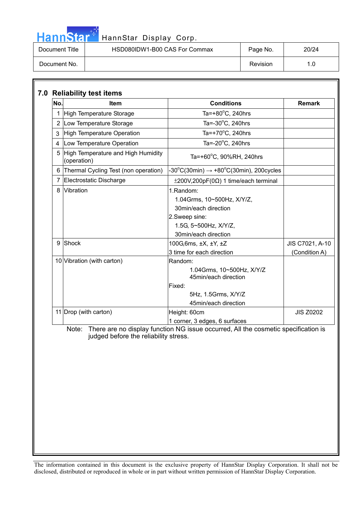# HannStar<sup>d</sup> HannStar Display Corp.

| Document Title | HSD080IDW1-B00 CAS For Commax | Page No. | 20/24 |
|----------------|-------------------------------|----------|-------|
| Document No.   |                               | Revision | 1.0   |

| No.            | <b>Item</b>                                         | <b>Conditions</b>                                                                                                                 | <b>Remark</b>    |
|----------------|-----------------------------------------------------|-----------------------------------------------------------------------------------------------------------------------------------|------------------|
|                | 1 High Temperature Storage                          | Ta=+80 $^{\circ}$ C, 240hrs                                                                                                       |                  |
|                | 2 Low Temperature Storage                           | Ta= $-30^{\circ}$ C, 240hrs                                                                                                       |                  |
| 3              | High Temperature Operation                          | Ta=+70°C, 240hrs                                                                                                                  |                  |
| $\overline{4}$ | Low Temperature Operation                           | Ta= $-20^{\circ}$ C, 240hrs                                                                                                       |                  |
|                | 5 High Temperature and High Humidity<br>(operation) | Ta=+60°C, 90%RH, 240hrs                                                                                                           |                  |
|                | 6 Thermal Cycling Test (non operation)              | $-30^{\circ}$ C(30min) $\rightarrow +80^{\circ}$ C(30min), 200cycles                                                              |                  |
| 7              | Electrostatic Discharge                             | $\pm 200V, 200pF(0\Omega)$ 1 time/each terminal                                                                                   |                  |
| 8              | Vibration                                           | 1.Random:<br>1.04Grms, 10~500Hz, X/Y/Z,<br>30min/each direction<br>2.Sweep sine:<br>1.5G, 5~500Hz, X/Y/Z,<br>30min/each direction |                  |
| 9              | Shock                                               | 100G, 6ms, ±X, ±Y, ±Z                                                                                                             | JIS C7021, A-10  |
|                |                                                     | 3 time for each direction                                                                                                         | (Condition A)    |
|                | 10 Vibration (with carton)                          | Random:<br>1.04Grms, 10~500Hz, X/Y/Z<br>45min/each direction<br>Fixed:<br>5Hz, 1.5Grms, X/Y/Z<br>45min/each direction             |                  |
|                | 11 Drop (with carton)                               | Height: 60cm<br>1 corner, 3 edges, 6 surfaces                                                                                     | <b>JIS Z0202</b> |
|                | judged before the reliability stress.               | Note: There are no display function NG issue occurred, All the cosmetic specification is                                          |                  |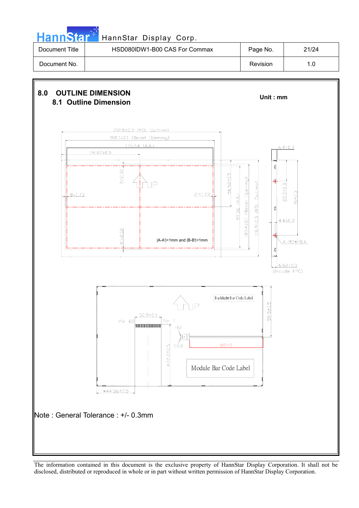

| Document Title | HSD080IDW1-B00 CAS For Commax | Page No. | 21/24 |
|----------------|-------------------------------|----------|-------|
| Document No.   |                               | Revision |       |

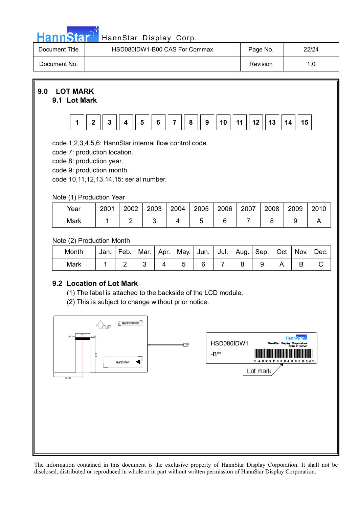|  | <u>ann<sup>,</sup></u> | . To i |  |
|--|------------------------|--------|--|

### HannStar Display Corp.

| Document Title | HSD080IDW1-B00 CAS For Commax | Page No. | 22/24 |
|----------------|-------------------------------|----------|-------|
| Document No.   |                               | Revision | 1.0   |



### **9.1 Lot Mark**



code 1,2,3,4,5,6: HannStar internal flow control code.

code 7: production location.

code 8: production year.

code 9: production month.

code 10,11,12,13,14,15: serial number.

### Note (1) Production Year

| Year | 2001 | 2002 | 2003 | 2004 | 2005 | 2006 | 2007 | 2008 | 2009 | 2010 |
|------|------|------|------|------|------|------|------|------|------|------|
| Mark |      |      |      |      |      |      |      |      |      |      |

### Note (2) Production Month

| Month | Jan. | Feb. | Mar. | Apr. | <sup>I</sup> May. | Jun. I | Jul. | ∣ Aug. I 1 | Sep. | Oct | Nov. | Dec. |
|-------|------|------|------|------|-------------------|--------|------|------------|------|-----|------|------|
| Mark  |      |      |      |      |                   |        |      |            |      |     |      |      |

### **9.2 Location of Lot Mark**

(1) The label is attached to the backside of the LCD module.

(2) This is subject to change without prior notice.

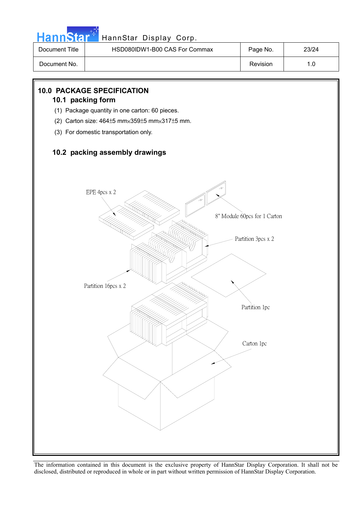

### HannStar<sup>#</sup> HannStar Display Corp.

| Document Title | HSD080IDW1-B00 CAS For Commax | Page No. | 23/24 |
|----------------|-------------------------------|----------|-------|
| Document No.   |                               | Revision | I.C   |

### **10.0 PACKAGE SPECIFICATION**

#### **10.1 packing form**

- (1) Package quantity in one carton: 60 pieces.
- (2) Carton size:  $464±5$  mm $\times$ 359 $±5$  mm $\times$ 317 $±5$  mm.
- (3) For domestic transportation only.

### **10.2 packing assembly drawings**

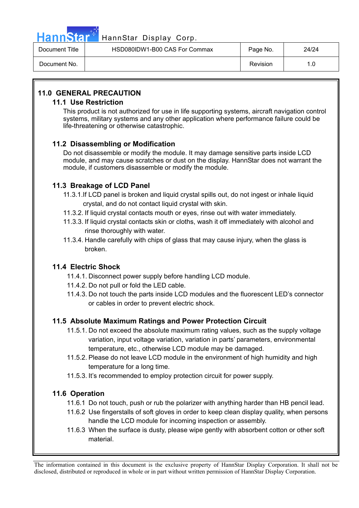

### HannStar<sup>47</sup> HannStar Display Corp.

| Document Title | HSD080IDW1-B00 CAS For Commax | Page No. | 24/24 |
|----------------|-------------------------------|----------|-------|
| Document No.   |                               | Revision | 1.0   |

### **11.0 GENERAL PRECAUTION**

### **11.1 Use Restriction**

This product is not authorized for use in life supporting systems, aircraft navigation control systems, military systems and any other application where performance failure could be life-threatening or otherwise catastrophic.

### **11.2 Disassembling or Modification**

Do not disassemble or modify the module. It may damage sensitive parts inside LCD module, and may cause scratches or dust on the display. HannStar does not warrant the module, if customers disassemble or modify the module.

### **11.3 Breakage of LCD Panel**

- 11.3.1.If LCD panel is broken and liquid crystal spills out, do not ingest or inhale liquid crystal, and do not contact liquid crystal with skin.
- 11.3.2. If liquid crystal contacts mouth or eyes, rinse out with water immediately.
- 11.3.3. If liquid crystal contacts skin or cloths, wash it off immediately with alcohol and rinse thoroughly with water.
- 11.3.4. Handle carefully with chips of glass that may cause injury, when the glass is broken.

### **11.4 Electric Shock**

- 11.4.1. Disconnect power supply before handling LCD module.
- 11.4.2. Do not pull or fold the LED cable.
- 11.4.3. Do not touch the parts inside LCD modules and the fluorescent LED's connector or cables in order to prevent electric shock.

### **11.5 Absolute Maximum Ratings and Power Protection Circuit**

- 11.5.1. Do not exceed the absolute maximum rating values, such as the supply voltage variation, input voltage variation, variation in parts' parameters, environmental temperature, etc., otherwise LCD module may be damaged.
- 11.5.2. Please do not leave LCD module in the environment of high humidity and high temperature for a long time.
- 11.5.3. It's recommended to employ protection circuit for power supply.

### **11.6 Operation**

- 11.6.1 Do not touch, push or rub the polarizer with anything harder than HB pencil lead.
- 11.6.2 Use fingerstalls of soft gloves in order to keep clean display quality, when persons handle the LCD module for incoming inspection or assembly.
- 11.6.3 When the surface is dusty, please wipe gently with absorbent cotton or other soft material.